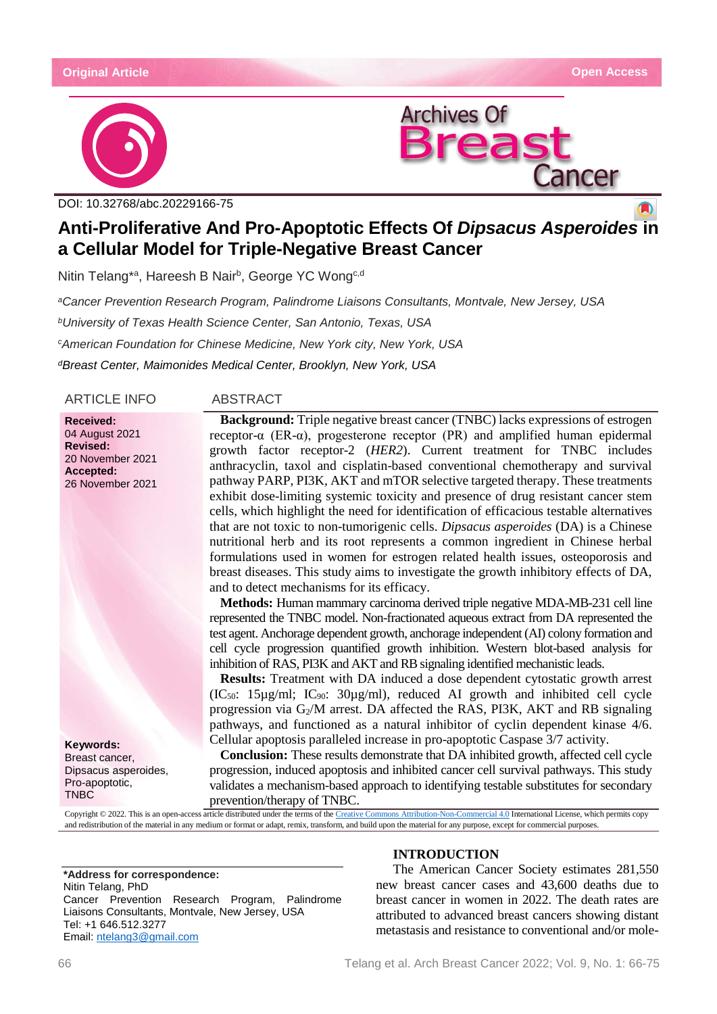#### **Original Article Open Access**





DOI: [10.32768/abc.20229166-75](http://dx.doi.org/10.32768/abc.202184267-276)

# **Anti-Proliferative And Pro-Apoptotic Effects Of** *Dipsacus Asperoides* **in a Cellular Model for Triple-Negative Breast Cancer**

Nitin Telang\*ª, Hareesh B Nair<sup>b</sup>, George YC Wong<sup>c,d</sup>

*aCancer Prevention Research Program, Palindrome Liaisons Consultants, Montvale, New Jersey, USA bUniversity of Texas Health Science Center, San Antonio, Texas, USA cAmerican Foundation for Chinese Medicine, New York city, New York, USA dBreast Center, Maimonides Medical Center, Brooklyn, New York, USA*

ARTICLE INFO ABSTRACT

**Received:** 04 August 2021 **Revised:** 20 November 2021 **Accepted:** 26 November 2021

**Keywords:** Breast cancer, Dipsacus asperoides, Pro-apoptotic, TNBC

**Background:** Triple negative breast cancer (TNBC) lacks expressions of estrogen receptor-α (ER-α), progesterone receptor (PR) and amplified human epidermal growth factor receptor-2 (*HER2*). Current treatment for TNBC includes anthracyclin, taxol and cisplatin-based conventional chemotherapy and survival pathway PARP, PI3K, AKT and mTOR selective targeted therapy. These treatments exhibit dose-limiting systemic toxicity and presence of drug resistant cancer stem cells, which highlight the need for identification of efficacious testable alternatives that are not toxic to non-tumorigenic cells. *Dipsacus asperoides* (DA) is a Chinese nutritional herb and its root represents a common ingredient in Chinese herbal formulations used in women for estrogen related health issues, osteoporosis and breast diseases. This study aims to investigate the growth inhibitory effects of DA, and to detect mechanisms for its efficacy.

**Methods:** Human mammary carcinoma derived triple negative MDA-MB-231 cell line represented the TNBC model. Non-fractionated aqueous extract from DA represented the test agent. Anchorage dependent growth, anchorage independent (AI) colony formation and cell cycle progression quantified growth inhibition. Western blot-based analysis for inhibition of RAS, PI3K and AKT and RB signaling identified mechanistic leads.

**Results:** Treatment with DA induced a dose dependent cytostatic growth arrest (IC<sub>50</sub>: 15 $\mu$ g/ml; IC<sub>90</sub>: 30 $\mu$ g/ml), reduced AI growth and inhibited cell cycle progression via G2/M arrest. DA affected the RAS, PI3K, AKT and RB signaling pathways, and functioned as a natural inhibitor of cyclin dependent kinase 4/6. Cellular apoptosis paralleled increase in pro-apoptotic Caspase 3/7 activity.

**Conclusion:** These results demonstrate that DA inhibited growth, affected cell cycle progression, induced apoptosis and inhibited cancer cell survival pathways. This study validates a mechanism-based approach to identifying testable substitutes for secondary prevention/therapy of TNBC.

Copyright © 2022. This is an open-access article distributed under the terms of th[e Creative Commons Attribution-Non-Commercial 4.0](https://creativecommons.org/licenses/by-nc/4.0/) International License, which permits copy and redistribution of the material in any medium or format or adapt, remix, transform, and build upon the material for any purpose, except for commercial purposes.

**\*Address for correspondence:** Nitin Telang, PhD Cancer Prevention Research Program, Palindrome Liaisons Consultants, Montvale, New Jersey, USA Tel: +1 646.512.3277 Email: [ntelang3@gmail.com](mailto:ntelang3@gmail.com)

# **INTRODUCTION**

The American Cancer Society estimates 281,550 new breast cancer cases and 43,600 deaths due to breast cancer in women in 2022. The death rates are attributed to advanced breast cancers showing distant metastasis and resistance to conventional and/or mole-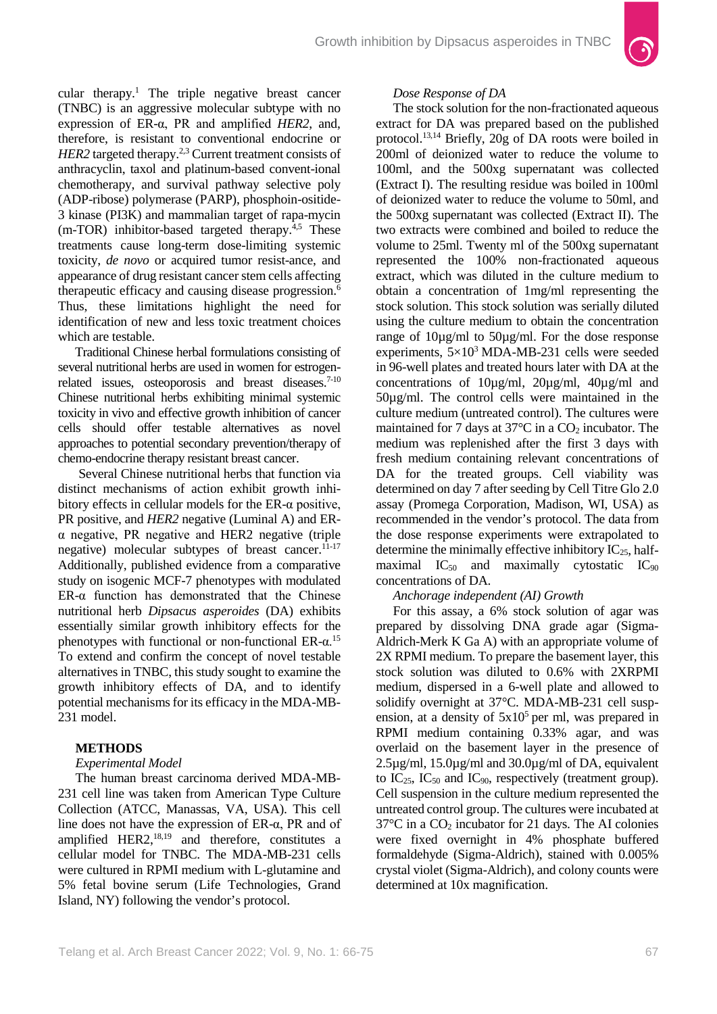

cular therapy.<sup>1</sup> The triple negative breast cancer (TNBC) is an aggressive molecular subtype with no expression of ER-α, PR and amplified *HER2*, and, therefore, is resistant to conventional endocrine or *HER2* targeted therapy.<sup>2,3</sup> Current treatment consists of anthracyclin, taxol and platinum-based convent-ional chemotherapy, and survival pathway selective poly (ADP-ribose) polymerase (PARP), phosphoin-ositide-3 kinase (PI3K) and mammalian target of rapa-mycin  $(m-TOR)$  inhibitor-based targeted therapy.<sup>4,5</sup> These treatments cause long-term dose-limiting systemic toxicity, *de novo* or acquired tumor resist-ance, and appearance of drug resistant cancer stem cells affecting therapeutic efficacy and causing disease progression.6 Thus, these limitations highlight the need for identification of new and less toxic treatment choices which are testable.

Traditional Chinese herbal formulations consisting of several nutritional herbs are used in women for estrogenrelated issues, osteoporosis and breast diseases.<sup>7-10</sup> Chinese nutritional herbs exhibiting minimal systemic toxicity in vivo and effective growth inhibition of cancer cells should offer testable alternatives as novel approaches to potential secondary prevention/therapy of chemo-endocrine therapy resistant breast cancer.

Several Chinese nutritional herbs that function via distinct mechanisms of action exhibit growth inhibitory effects in cellular models for the  $ER-\alpha$  positive, PR positive, and *HER2* negative (Luminal A) and ERα negative, PR negative and HER2 negative (triple negative) molecular subtypes of breast cancer. $11-17$ Additionally, published evidence from a comparative study on isogenic MCF-7 phenotypes with modulated ER-α function has demonstrated that the Chinese nutritional herb *Dipsacus asperoides* (DA) exhibits essentially similar growth inhibitory effects for the phenotypes with functional or non-functional  $ER-\alpha$ <sup>15</sup> To extend and confirm the concept of novel testable alternatives in TNBC, this study sought to examine the growth inhibitory effects of DA, and to identify potential mechanisms for its efficacy in the MDA-MB-231 model.

# **METHODS**

#### *Experimental Model*

The human breast carcinoma derived MDA-MB-231 cell line was taken from American Type Culture Collection (ATCC, Manassas, VA, USA). This cell line does not have the expression of  $ER-\alpha$ , PR and of amplified HER2, $^{18,19}$  and therefore, constitutes a cellular model for TNBC. The MDA-MB-231 cells were cultured in RPMI medium with L-glutamine and 5% fetal bovine serum (Life Technologies, Grand Island, NY) following the vendor's protocol.

#### *Dose Response of DA*

The stock solution for the non-fractionated aqueous extract for DA was prepared based on the published protocol.13,14 Briefly, 20g of DA roots were boiled in 200ml of deionized water to reduce the volume to 100ml, and the 500xg supernatant was collected (Extract I). The resulting residue was boiled in 100ml of deionized water to reduce the volume to 50ml, and the 500xg supernatant was collected (Extract II). The two extracts were combined and boiled to reduce the volume to 25ml. Twenty ml of the 500xg supernatant represented the 100% non-fractionated aqueous extract, which was diluted in the culture medium to obtain a concentration of 1mg/ml representing the stock solution. This stock solution was serially diluted using the culture medium to obtain the concentration range of 10µg/ml to 50µg/ml. For the dose response experiments,  $5\times10^3$  MDA-MB-231 cells were seeded in 96-well plates and treated hours later with DA at the concentrations of 10µg/ml, 20µg/ml, 40µg/ml and 50µg/ml. The control cells were maintained in the culture medium (untreated control). The cultures were maintained for 7 days at  $37^{\circ}$ C in a  $CO_2$  incubator. The medium was replenished after the first 3 days with fresh medium containing relevant concentrations of DA for the treated groups. Cell viability was determined on day 7 after seeding by Cell Titre Glo 2.0 assay (Promega Corporation, Madison, WI, USA) as recommended in the vendor's protocol. The data from the dose response experiments were extrapolated to determine the minimally effective inhibitory  $IC_{25}$ , halfmaximal  $IC_{50}$  and maximally cytostatic  $IC_{90}$ concentrations of DA.

# *Anchorage independent (AI) Growth*

For this assay, a 6% stock solution of agar was prepared by dissolving DNA grade agar (Sigma-Aldrich-Merk K Ga A) with an appropriate volume of 2X RPMI medium. To prepare the basement layer, this stock solution was diluted to 0.6% with 2XRPMI medium, dispersed in a 6-well plate and allowed to solidify overnight at 37°C. MDA-MB-231 cell suspension, at a density of  $5x10^5$  per ml, was prepared in RPMI medium containing 0.33% agar, and was overlaid on the basement layer in the presence of 2.5µg/ml, 15.0µg/ml and 30.0µg/ml of DA, equivalent to  $IC_{25}$ ,  $IC_{50}$  and  $IC_{90}$ , respectively (treatment group). Cell suspension in the culture medium represented the untreated control group. The cultures were incubated at  $37^{\circ}$ C in a CO<sub>2</sub> incubator for 21 days. The AI colonies were fixed overnight in 4% phosphate buffered formaldehyde (Sigma-Aldrich), stained with 0.005% crystal violet (Sigma-Aldrich), and colony counts were determined at 10x magnification.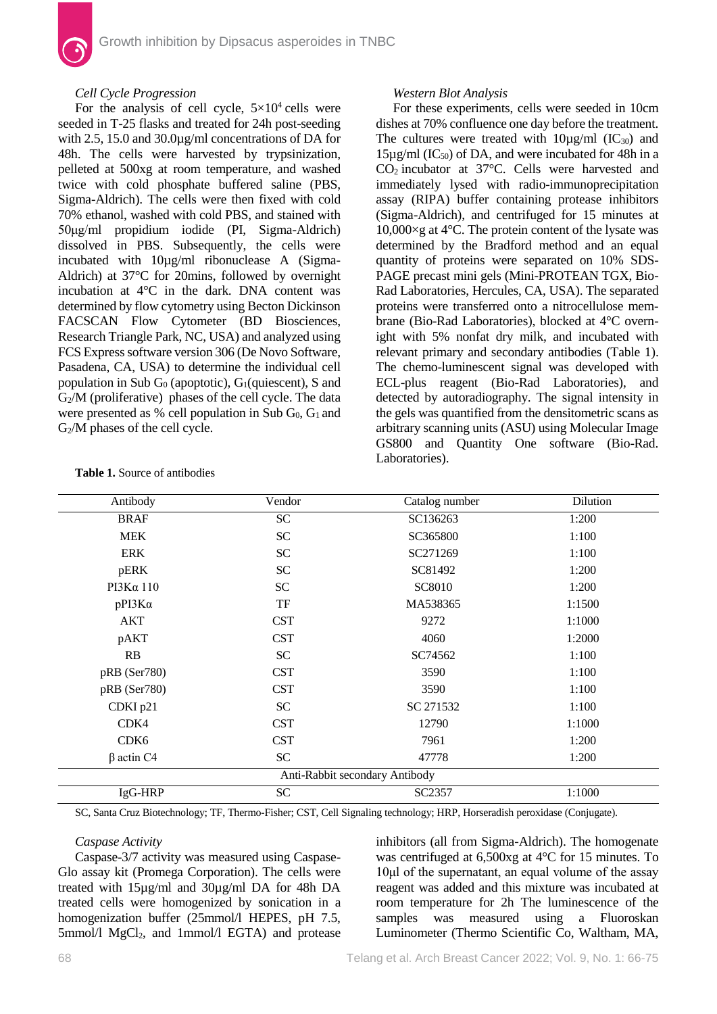# *Cell Cycle Progression*

For the analysis of cell cycle,  $5\times10^4$  cells were seeded in T-25 flasks and treated for 24h post-seeding with 2.5, 15.0 and 30.0µg/ml concentrations of DA for 48h. The cells were harvested by trypsinization, pelleted at 500xg at room temperature, and washed twice with cold phosphate buffered saline (PBS, Sigma-Aldrich). The cells were then fixed with cold 70% ethanol, washed with cold PBS, and stained with 50μg/ml propidium iodide (PI, Sigma-Aldrich) dissolved in PBS. Subsequently, the cells were incubated with 10µg/ml ribonuclease A (Sigma-Aldrich) at 37°C for 20mins, followed by overnight incubation at 4°C in the dark. DNA content was determined by flow cytometry using Becton Dickinson FACSCAN Flow Cytometer (BD Biosciences, Research Triangle Park, NC, USA) and analyzed using FCS Express software version 306 (De Novo Software, Pasadena, CA, USA) to determine the individual cell population in Sub  $G_0$  (apoptotic),  $G_1$ (quiescent), S and  $G<sub>2</sub>/M$  (proliferative) phases of the cell cycle. The data were presented as % cell population in Sub  $G_0$ ,  $G_1$  and G2/M phases of the cell cycle.

# *Western Blot Analysis*

For these experiments, cells were seeded in 10cm dishes at 70% confluence one day before the treatment. The cultures were treated with  $10\mu\text{g/ml}$  (IC<sub>30</sub>) and  $15\mu$ g/ml (IC<sub>50</sub>) of DA, and were incubated for 48h in a CO2 incubator at 37°C. Cells were harvested and immediately lysed with radio-immunoprecipitation assay (RIPA) buffer containing protease inhibitors (Sigma-Aldrich), and centrifuged for 15 minutes at 10,000×g at 4°C. The protein content of the lysate was determined by the Bradford method and an equal quantity of proteins were separated on 10% SDS-PAGE precast mini gels (Mini-PROTEAN TGX, Bio-Rad Laboratories, Hercules, CA, USA). The separated proteins were transferred onto a nitrocellulose membrane (Bio-Rad Laboratories), blocked at 4°C overnight with 5% nonfat dry milk, and incubated with relevant primary and secondary antibodies (Table 1). The chemo-luminescent signal was developed with ECL-plus reagent (Bio-Rad Laboratories), and detected by autoradiography. The signal intensity in the gels was quantified from the densitometric scans as arbitrary scanning units (ASU) using Molecular Image GS800 and Quantity One software (Bio-Rad. Laboratories).

| Antibody                       | Vendor     | Catalog number | Dilution |  |  |  |
|--------------------------------|------------|----------------|----------|--|--|--|
| <b>BRAF</b>                    | ${\rm SC}$ | SC136263       | 1:200    |  |  |  |
| <b>MEK</b>                     | <b>SC</b>  | SC365800       | 1:100    |  |  |  |
| <b>ERK</b>                     | <b>SC</b>  | SC271269       | 1:100    |  |  |  |
| pERK                           | <b>SC</b>  | SC81492        | 1:200    |  |  |  |
| $PI3K\alpha$ 110               | <b>SC</b>  | SC8010         | 1:200    |  |  |  |
| $pPI3K\alpha$                  | TF         | MA538365       | 1:1500   |  |  |  |
| AKT                            | <b>CST</b> | 9272           | 1:1000   |  |  |  |
| pAKT                           | <b>CST</b> | 4060           | 1:2000   |  |  |  |
| RB                             | <b>SC</b>  | SC74562        | 1:100    |  |  |  |
| pRB (Ser780)                   | <b>CST</b> | 3590           | 1:100    |  |  |  |
| pRB (Ser780)                   | <b>CST</b> | 3590           | 1:100    |  |  |  |
| CDKI p21                       | <b>SC</b>  | SC 271532      | 1:100    |  |  |  |
| CDK4                           | <b>CST</b> | 12790          | 1:1000   |  |  |  |
| CDK <sub>6</sub>               | <b>CST</b> | 7961           | 1:200    |  |  |  |
| $\beta$ actin C4               | <b>SC</b>  | 47778          | 1:200    |  |  |  |
| Anti-Rabbit secondary Antibody |            |                |          |  |  |  |
| IgG-HRP                        | <b>SC</b>  | SC2357         | 1:1000   |  |  |  |

**Table 1.** Source of antibodies

SC, Santa Cruz Biotechnology; TF, Thermo-Fisher; CST, Cell Signaling technology; HRP, Horseradish peroxidase (Conjugate).

# *Caspase Activity*

Caspase-3/7 activity was measured using Caspase-Glo assay kit (Promega Corporation). The cells were treated with 15µg/ml and 30µg/ml DA for 48h DA treated cells were homogenized by sonication in a homogenization buffer (25mmol/l HEPES, pH 7.5,  $5$ mmol/l MgCl<sub>2</sub>, and 1mmol/l EGTA) and protease

inhibitors (all from Sigma-Aldrich). The homogenate was centrifuged at 6,500xg at 4°C for 15 minutes. To 10μl of the supernatant, an equal volume of the assay reagent was added and this mixture was incubated at room temperature for 2h The luminescence of the samples was measured using a Fluoroskan Luminometer (Thermo Scientific Co, Waltham, MA,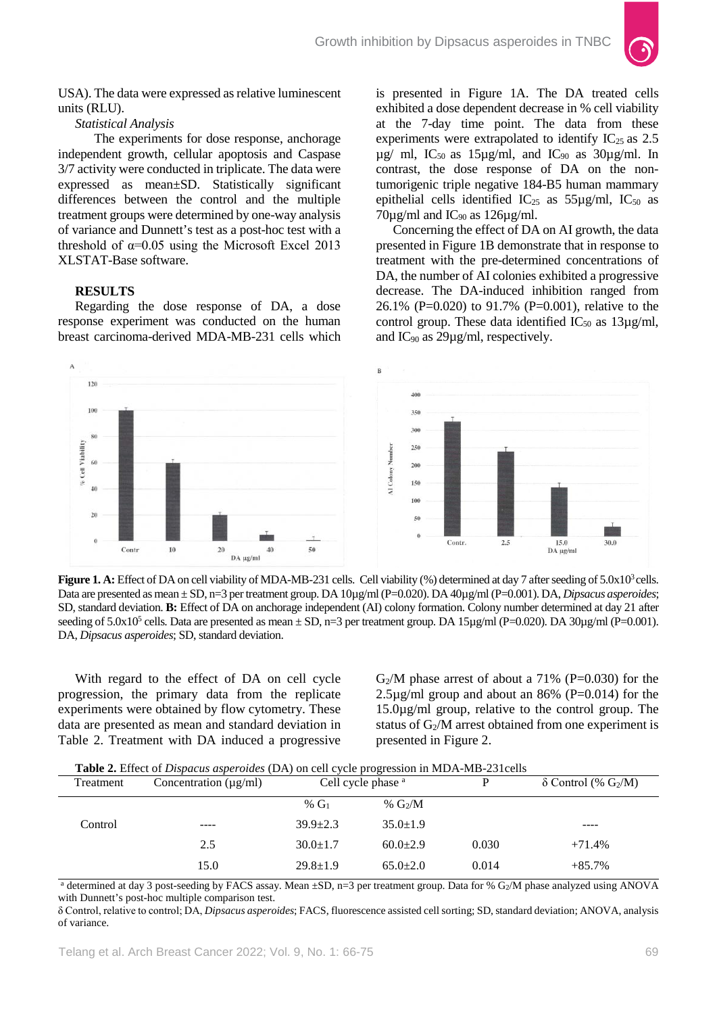

USA). The data were expressed as relative luminescent units (RLU).

*Statistical Analysis* 

 The experiments for dose response, anchorage independent growth, cellular apoptosis and Caspase 3/7 activity were conducted in triplicate. The data were expressed as mean±SD. Statistically significant differences between the control and the multiple treatment groups were determined by one-way analysis of variance and Dunnett's test as a post-hoc test with a threshold of  $\alpha$ =0.05 using the Microsoft Excel 2013 XLSTAT-Base software.

# **RESULTS**

Regarding the dose response of DA, a dose response experiment was conducted on the human breast carcinoma-derived MDA-MB-231 cells which is presented in Figure 1A. The DA treated cells exhibited a dose dependent decrease in % cell viability at the 7-day time point. The data from these experiments were extrapolated to identify  $IC_{25}$  as 2.5  $\mu$ g/ ml, IC<sub>50</sub> as 15 $\mu$ g/ml, and IC<sub>90</sub> as 30 $\mu$ g/ml. In contrast, the dose response of DA on the nontumorigenic triple negative 184-B5 human mammary epithelial cells identified  $IC_{25}$  as 55µg/ml,  $IC_{50}$  as  $70\mu$ g/ml and IC<sub>90</sub> as 126 $\mu$ g/ml.

Concerning the effect of DA on AI growth, the data presented in Figure 1B demonstrate that in response to treatment with the pre-determined concentrations of DA, the number of AI colonies exhibited a progressive decrease. The DA-induced inhibition ranged from 26.1% (P=0.020) to 91.7% (P=0.001), relative to the control group. These data identified  $IC_{50}$  as  $13\mu g/ml$ , and  $IC_{90}$  as 29 $\mu$ g/ml, respectively.



**Figure 1. A:** Effect of DA on cell viability of MDA-MB-231 cells. Cell viability (%) determined at day 7 after seeding of 5.0x10<sup>3</sup> cells. Data are presented as mean ± SD, n=3 per treatment group. DA 10µg/ml(P=0.020). DA 40µg/ml (P=0.001). DA, *Dipsacus asperoides*; SD, standard deviation. **B:** Effect of DA on anchorage independent (AI) colony formation. Colony number determined at day 21 after seeding of  $5.0x10^5$  cells. Data are presented as mean  $\pm$  SD, n=3 per treatment group. DA  $15\mu\text{g/ml}}$  (P=0.020). DA  $30\mu\text{g/ml}}$  (P=0.001). DA, *Dipsacus asperoides*; SD, standard deviation.

With regard to the effect of DA on cell cycle progression, the primary data from the replicate experiments were obtained by flow cytometry. These data are presented as mean and standard deviation in Table 2. Treatment with DA induced a progressive

 $G<sub>2</sub>/M$  phase arrest of about a 71% (P=0.030) for the  $2.5\mu$ g/ml group and about an 86% (P=0.014) for the 15.0µg/ml group, relative to the control group. The status of  $G_2/M$  arrest obtained from one experiment is presented in Figure 2.

| <b>Table 2.</b> Effect of <i>Dispacus asperoides</i> (DA) on cell cycle progression in MDA-MB-231 cells |  |  |
|---------------------------------------------------------------------------------------------------------|--|--|
|---------------------------------------------------------------------------------------------------------|--|--|

| Treatment | Concentration $(\mu g/ml)$ | <b>Table 2.</b> Effect of <i>Disputus uspervities</i> (DA) on cen cycle progression in MDA-MD-25Tecns<br>Cell cycle phase <sup>a</sup> |                |       | $\delta$ Control (% G <sub>2</sub> /M) |
|-----------|----------------------------|----------------------------------------------------------------------------------------------------------------------------------------|----------------|-------|----------------------------------------|
|           |                            | % $G_1$                                                                                                                                | % $G_2/M$      |       |                                        |
| Control   | $\frac{1}{2}$              | $39.9 \pm 2.3$                                                                                                                         | $35.0 \pm 1.9$ |       | $- - - -$                              |
|           | 2.5                        | $30.0 \pm 1.7$                                                                                                                         | $60.0 \pm 2.9$ | 0.030 | $+71.4%$                               |
|           | 15.0                       | $29.8 \pm 1.9$                                                                                                                         | $65.0+2.0$     | 0.014 | $+85.7%$                               |

<sup>a</sup> determined at day 3 post-seeding by FACS assay. Mean ±SD, n=3 per treatment group. Data for % G2/M phase analyzed using ANOVA with Dunnett's post-hoc multiple comparison test.

δ Control, relative to control; DA, *Dipsacus asperoides*; FACS, fluorescence assisted cell sorting; SD, standard deviation; ANOVA, analysis of variance.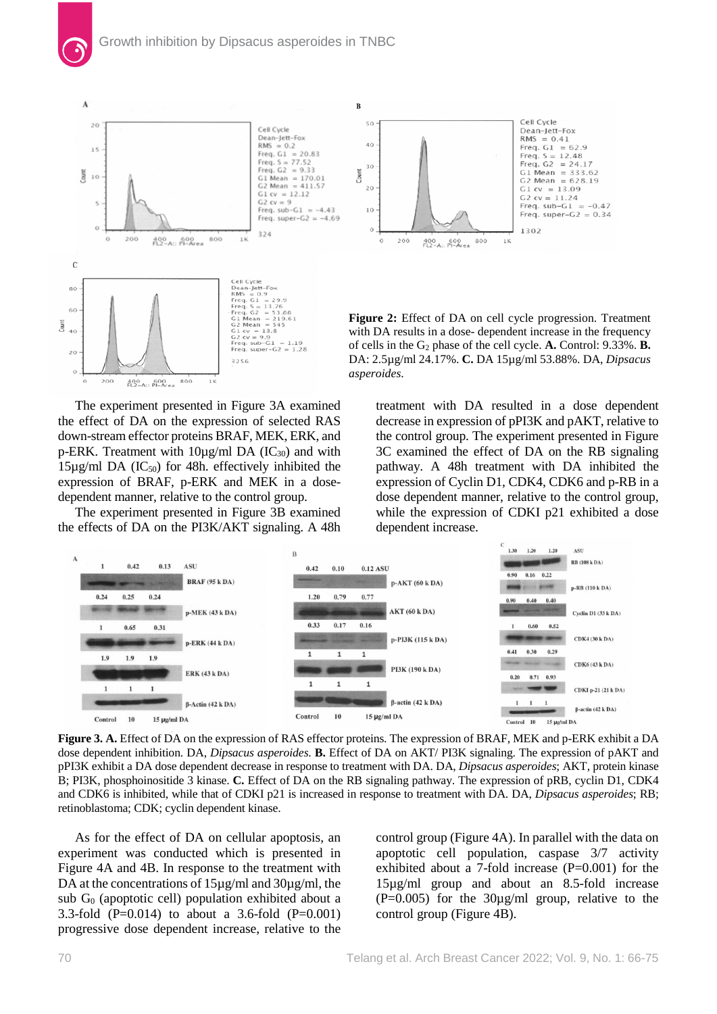

The experiment presented in Figure 3A examined the effect of DA on the expression of selected RAS down-stream effector proteins BRAF, MEK, ERK, and p-ERK. Treatment with  $10\mu g/ml$  DA (IC<sub>30</sub>) and with  $15\mu\text{g/ml DA}$  (IC<sub>50</sub>) for 48h. effectively inhibited the expression of BRAF, p-ERK and MEK in a dosedependent manner, relative to the control group.

The experiment presented in Figure 3B examined the effects of DA on the PI3K/AKT signaling. A 48h treatment with DA resulted in a dose dependent decrease in expression of pPI3K and pAKT, relative to the control group. The experiment presented in Figure 3C examined the effect of DA on the RB signaling pathway. A 48h treatment with DA inhibited the expression of Cyclin D1, CDK4, CDK6 and p-RB in a dose dependent manner, relative to the control group, while the expression of CDKI p21 exhibited a dose dependent increase.



**Figure 3. A.** Effect of DA on the expression of RAS effector proteins. The expression of BRAF, MEK and p-ERK exhibit a DA dose dependent inhibition. DA, *Dipsacus asperoides*. **B.** Effect of DA on AKT/ PI3K signaling. The expression of pAKT and pPI3K exhibit a DA dose dependent decrease in response to treatment with DA. DA, *Dipsacus asperoides*; AKT, protein kinase B; PI3K, phosphoinositide 3 kinase. **C.** Effect of DA on the RB signaling pathway. The expression of pRB, cyclin D1, CDK4 and CDK6 is inhibited, while that of CDKI p21 is increased in response to treatment with DA. DA, *Dipsacus asperoides*; RB; retinoblastoma; CDK; cyclin dependent kinase.

As for the effect of DA on cellular apoptosis, an experiment was conducted which is presented in Figure 4A and 4B. In response to the treatment with DA at the concentrations of  $15\mu g/ml$  and  $30\mu g/ml$ , the sub  $G_0$  (apoptotic cell) population exhibited about a 3.3-fold (P=0.014) to about a 3.6-fold (P=0.001) progressive dose dependent increase, relative to the

control group (Figure 4A). In parallel with the data on apoptotic cell population, caspase 3/7 activity exhibited about a 7-fold increase  $(P=0.001)$  for the 15µg/ml group and about an 8.5-fold increase  $(P=0.005)$  for the 30 $\mu$ g/ml group, relative to the control group (Figure 4B).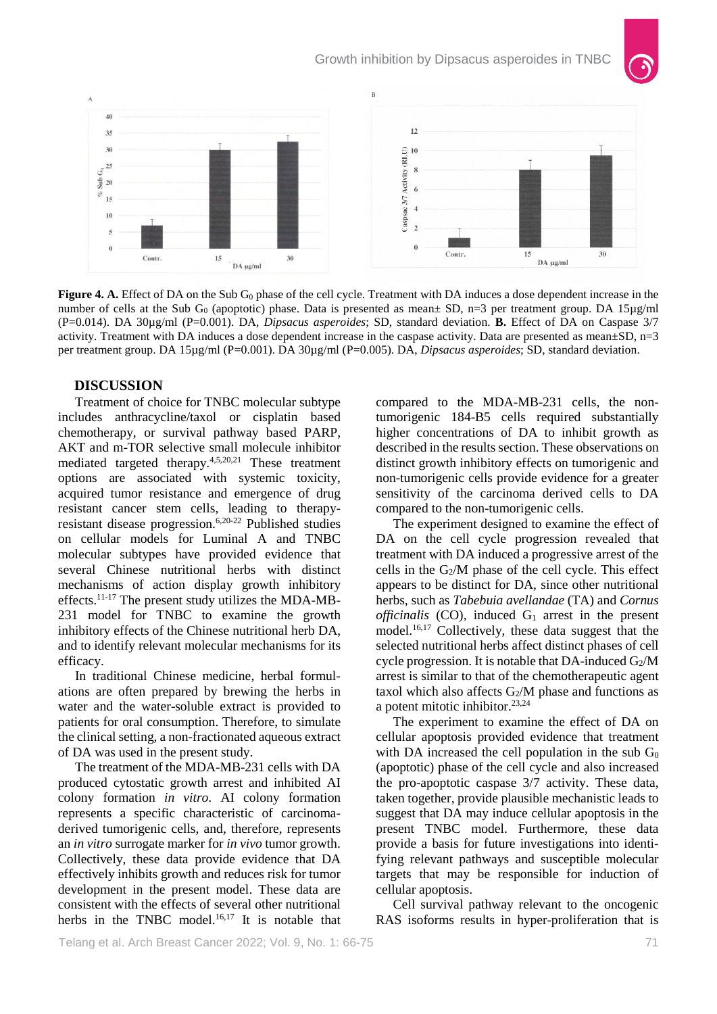

**Figure 4. A.** Effect of DA on the Sub G<sub>0</sub> phase of the cell cycle. Treatment with DA induces a dose dependent increase in the number of cells at the Sub G<sub>0</sub> (apoptotic) phase. Data is presented as mean± SD, n=3 per treatment group. DA 15µg/ml (P=0.014). DA 30µg/ml (P=0.001). DA, *Dipsacus asperoides*; SD, standard deviation. **B.** Effect of DA on Caspase 3/7 activity. Treatment with DA induces a dose dependent increase in the caspase activity. Data are presented as mean±SD, n=3 per treatment group. DA 15µg/ml (P=0.001). DA 30µg/ml (P=0.005). DA, *Dipsacus asperoides*; SD, standard deviation.

# **DISCUSSION**

Treatment of choice for TNBC molecular subtype includes anthracycline/taxol or cisplatin based chemotherapy, or survival pathway based PARP, AKT and m-TOR selective small molecule inhibitor mediated targeted therapy.4,5,20,21 These treatment options are associated with systemic toxicity, acquired tumor resistance and emergence of drug resistant cancer stem cells, leading to therapyresistant disease progression.6,20-22 Published studies on cellular models for Luminal A and TNBC molecular subtypes have provided evidence that several Chinese nutritional herbs with distinct mechanisms of action display growth inhibitory effects.<sup>11-17</sup> The present study utilizes the MDA-MB-231 model for TNBC to examine the growth inhibitory effects of the Chinese nutritional herb DA, and to identify relevant molecular mechanisms for its efficacy.

In traditional Chinese medicine, herbal formulations are often prepared by brewing the herbs in water and the water-soluble extract is provided to patients for oral consumption. Therefore, to simulate the clinical setting, a non-fractionated aqueous extract of DA was used in the present study.

The treatment of the MDA-MB-231 cells with DA produced cytostatic growth arrest and inhibited AI colony formation *in vitro*. AI colony formation represents a specific characteristic of carcinomaderived tumorigenic cells, and, therefore, represents an *in vitro* surrogate marker for *in vivo* tumor growth. Collectively, these data provide evidence that DA effectively inhibits growth and reduces risk for tumor development in the present model. These data are consistent with the effects of several other nutritional herbs in the TNBC model.<sup>16,17</sup> It is notable that compared to the MDA-MB-231 cells, the nontumorigenic 184-B5 cells required substantially higher concentrations of DA to inhibit growth as described in the results section. These observations on distinct growth inhibitory effects on tumorigenic and non-tumorigenic cells provide evidence for a greater sensitivity of the carcinoma derived cells to DA compared to the non-tumorigenic cells.

The experiment designed to examine the effect of DA on the cell cycle progression revealed that treatment with DA induced a progressive arrest of the cells in the  $G_2/M$  phase of the cell cycle. This effect appears to be distinct for DA, since other nutritional herbs, such as *Tabebuia avellandae* (TA) and *Cornus officinalis* (CO), induced  $G_1$  arrest in the present model.16,17 Collectively, these data suggest that the selected nutritional herbs affect distinct phases of cell cycle progression. It is notable that DA-induced  $G_2/M$ arrest is similar to that of the chemotherapeutic agent taxol which also affects  $G_2/M$  phase and functions as a potent mitotic inhibitor.23,24

The experiment to examine the effect of DA on cellular apoptosis provided evidence that treatment with DA increased the cell population in the sub  $G_0$ (apoptotic) phase of the cell cycle and also increased the pro-apoptotic caspase 3/7 activity. These data, taken together, provide plausible mechanistic leads to suggest that DA may induce cellular apoptosis in the present TNBC model. Furthermore, these data provide a basis for future investigations into identifying relevant pathways and susceptible molecular targets that may be responsible for induction of cellular apoptosis.

Cell survival pathway relevant to the oncogenic RAS isoforms results in hyper-proliferation that is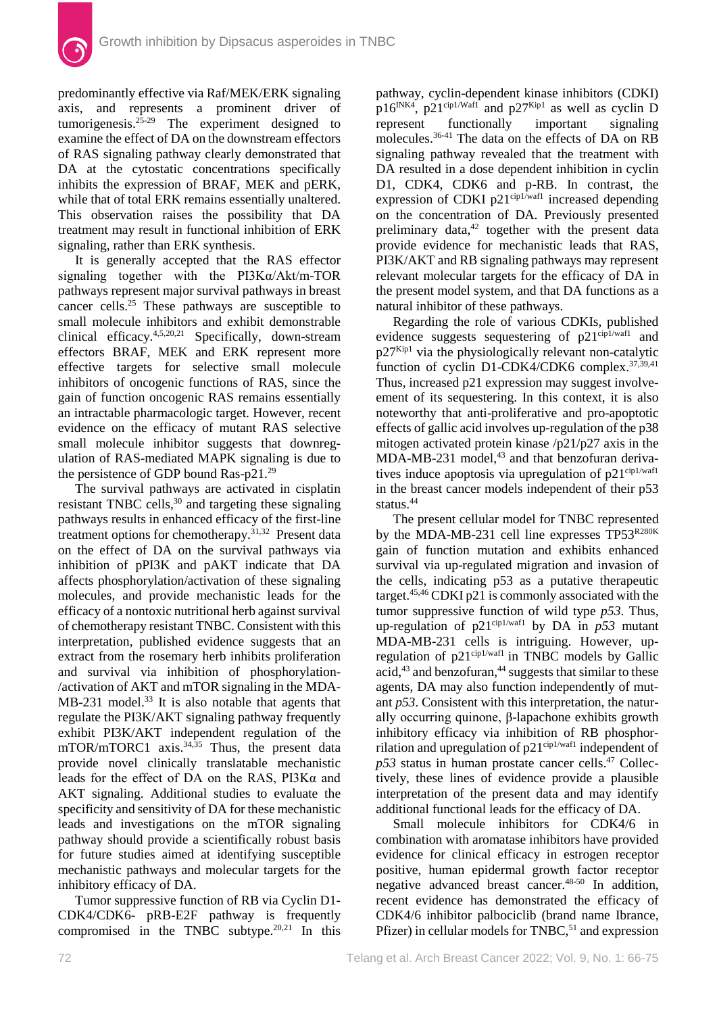predominantly effective via Raf/MEK/ERK signaling axis, and represents a prominent driver of tumorigenesis. $25-29$  The experiment designed to examine the effect of DA on the downstream effectors of RAS signaling pathway clearly demonstrated that DA at the cytostatic concentrations specifically inhibits the expression of BRAF, MEK and pERK, while that of total ERK remains essentially unaltered. This observation raises the possibility that DA treatment may result in functional inhibition of ERK signaling, rather than ERK synthesis.

It is generally accepted that the RAS effector signaling together with the PI3Kα/Akt/m-TOR pathways represent major survival pathways in breast cancer cells.25 These pathways are susceptible to small molecule inhibitors and exhibit demonstrable clinical efficacy. 4,5,20,21 Specifically, down-stream effectors BRAF, MEK and ERK represent more effective targets for selective small molecule inhibitors of oncogenic functions of RAS, since the gain of function oncogenic RAS remains essentially an intractable pharmacologic target. However, recent evidence on the efficacy of mutant RAS selective small molecule inhibitor suggests that downregulation of RAS-mediated MAPK signaling is due to the persistence of GDP bound Ras-p21.29

The survival pathways are activated in cisplatin resistant TNBC cells,<sup>30</sup> and targeting these signaling pathways results in enhanced efficacy of the first-line treatment options for chemotherapy.<sup>31,32</sup> Present data on the effect of DA on the survival pathways via inhibition of pPI3K and pAKT indicate that DA affects phosphorylation/activation of these signaling molecules, and provide mechanistic leads for the efficacy of a nontoxic nutritional herb against survival of chemotherapy resistant TNBC. Consistent with this interpretation, published evidence suggests that an extract from the rosemary herb inhibits proliferation and survival via inhibition of phosphorylation- /activation of AKT and mTOR signaling in the MDA-MB-231 model.<sup>33</sup> It is also notable that agents that regulate the PI3K/AKT signaling pathway frequently exhibit PI3K/AKT independent regulation of the mTOR/mTORC1 axis.<sup>34,35</sup> Thus, the present data provide novel clinically translatable mechanistic leads for the effect of DA on the RAS, PI3Kα and AKT signaling. Additional studies to evaluate the specificity and sensitivity of DA for these mechanistic leads and investigations on the mTOR signaling pathway should provide a scientifically robust basis for future studies aimed at identifying susceptible mechanistic pathways and molecular targets for the inhibitory efficacy of DA.

Tumor suppressive function of RB via Cyclin D1- CDK4/CDK6- pRB-E2F pathway is frequently compromised in the TNBC subtype.20,21 In this pathway, cyclin-dependent kinase inhibitors (CDKI)  $p16^{INK4}$ ,  $p21^{cip1/Wafl}$  and  $p27^{Kip1}$  as well as cyclin D<br>represent functionally important signaling represent functionally important signaling molecules.36-41 The data on the effects of DA on RB signaling pathway revealed that the treatment with DA resulted in a dose dependent inhibition in cyclin D1, CDK4, CDK6 and p-RB. In contrast, the expression of CDKI p21<sup>cip1/waf1</sup> increased depending on the concentration of DA. Previously presented preliminary data, <sup>42</sup> together with the present data provide evidence for mechanistic leads that RAS, PI3K/AKT and RB signaling pathways may represent relevant molecular targets for the efficacy of DA in the present model system, and that DA functions as a natural inhibitor of these pathways.

Regarding the role of various CDKIs, published evidence suggests sequestering of  $p21^{\text{cip1/waf1}}$  and  $p27<sup>Kip1</sup>$  via the physiologically relevant non-catalytic function of cyclin D1-CDK4/CDK6 complex.<sup>37,39,41</sup> Thus, increased p21 expression may suggest involveement of its sequestering. In this context, it is also noteworthy that anti-proliferative and pro-apoptotic effects of gallic acid involves up-regulation of the p38 mitogen activated protein kinase /p21/p27 axis in the MDA-MB-231 model, <sup>43</sup> and that benzofuran derivatives induce apoptosis via upregulation of  $p21^{\text{cip1/waf1}}$ in the breast cancer models independent of their p53 status.44

The present cellular model for TNBC represented by the MDA-MB-231 cell line expresses TP53R280K gain of function mutation and exhibits enhanced survival via up-regulated migration and invasion of the cells, indicating p53 as a putative therapeutic target.45,46 CDKI p21 is commonly associated with the tumor suppressive function of wild type *p53*. Thus, up-regulation of  $p21^{cip1/waf1}$  by DA in  $p53$  mutant MDA-MB-231 cells is intriguing. However, upregulation of  $p21^{\text{cip1/waf1}}$  in TNBC models by Gallic acid, <sup>43</sup> and benzofuran, <sup>44</sup> suggests that similar to these agents, DA may also function independently of mutant *p53*. Consistent with this interpretation, the naturally occurring quinone, β-lapachone exhibits growth inhibitory efficacy via inhibition of RB phosphorrilation and upregulation of  $p21^{\text{cip1/waf1}}$  independent of *p53* status in human prostate cancer cells. <sup>47</sup> Collectively, these lines of evidence provide a plausible interpretation of the present data and may identify additional functional leads for the efficacy of DA.

Small molecule inhibitors for CDK4/6 in combination with aromatase inhibitors have provided evidence for clinical efficacy in estrogen receptor positive, human epidermal growth factor receptor negative advanced breast cancer.48-50 In addition, recent evidence has demonstrated the efficacy of CDK4/6 inhibitor palbociclib (brand name Ibrance, Pfizer) in cellular models for TNBC,<sup>51</sup> and expression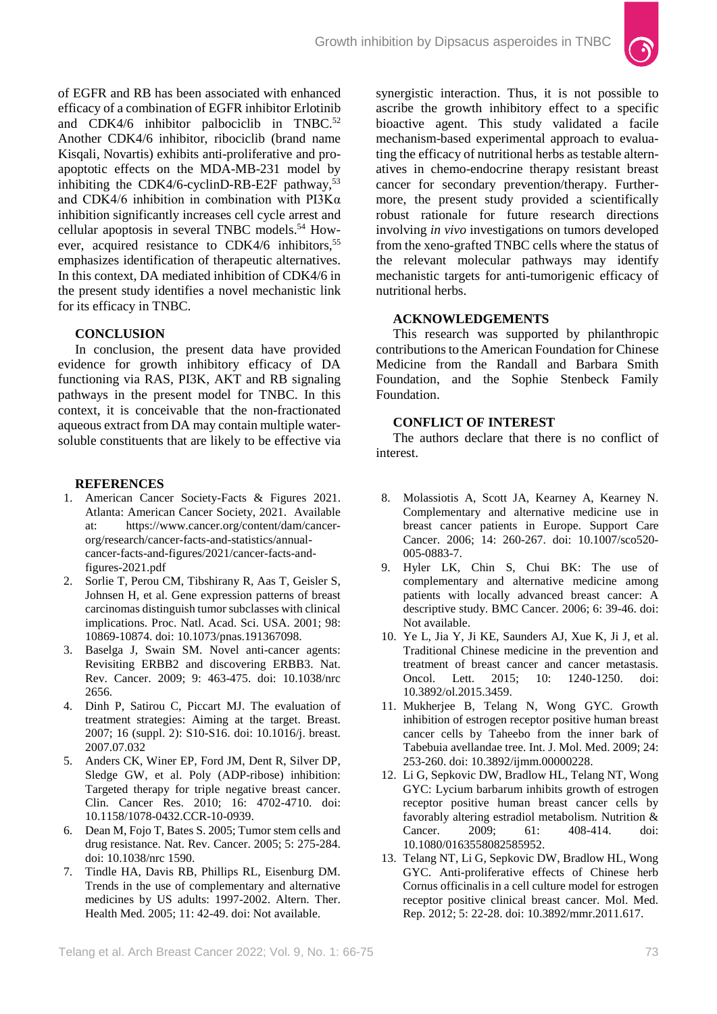

of EGFR and RB has been associated with enhanced efficacy of a combination of EGFR inhibitor Erlotinib and CDK4/6 inhibitor palbociclib in TNBC.<sup>52</sup> Another CDK4/6 inhibitor, ribociclib (brand name Kisqali, Novartis) exhibits anti-proliferative and proapoptotic effects on the MDA-MB-231 model by inhibiting the CDK4/6-cyclinD-RB-E2F pathway,<sup>53</sup> and CDK4/6 inhibition in combination with PI3Kα inhibition significantly increases cell cycle arrest and cellular apoptosis in several TNBC models.<sup>54</sup> However, acquired resistance to CDK4/6 inhibitors,<sup>55</sup> emphasizes identification of therapeutic alternatives. In this context, DA mediated inhibition of CDK4/6 in the present study identifies a novel mechanistic link for its efficacy in TNBC.

# **CONCLUSION**

In conclusion, the present data have provided evidence for growth inhibitory efficacy of DA functioning via RAS, PI3K, AKT and RB signaling pathways in the present model for TNBC. In this context, it is conceivable that the non-fractionated aqueous extract from DA may contain multiple watersoluble constituents that are likely to be effective via

#### **REFERENCES**

- 1. American Cancer Society-Facts & Figures 2021. Atlanta: American Cancer Society, 2021. Available at: https://www.cancer.org/content/dam/cancerorg/research/cancer-facts-and-statistics/annualcancer-facts-and-figures/2021/cancer-facts-andfigures-2021.pdf
- 2. Sorlie T, Perou CM, Tibshirany R, Aas T, Geisler S, Johnsen H, et al. Gene expression patterns of breast carcinomas distinguish tumor subclasses with clinical implications. Proc. Natl. Acad. Sci. USA. 2001; 98: 10869-10874. doi: 10.1073/pnas.191367098.
- 3. Baselga J, Swain SM. Novel anti-cancer agents: Revisiting ERBB2 and discovering ERBB3. Nat. Rev. Cancer. 2009; 9: 463-475. doi: 10.1038/nrc 2656.
- 4. Dinh P, Satirou C, Piccart MJ. The evaluation of treatment strategies: Aiming at the target. Breast. 2007; 16 (suppl. 2): S10-S16. doi: 10.1016/j. breast. 2007.07.032
- 5. Anders CK, Winer EP, Ford JM, Dent R, Silver DP, Sledge GW, et al. Poly (ADP-ribose) inhibition: Targeted therapy for triple negative breast cancer. Clin. Cancer Res. 2010; 16: 4702-4710. doi: 10.1158/1078-0432.CCR-10-0939.
- 6. Dean M, Fojo T, Bates S. 2005; Tumor stem cells and drug resistance. Nat. Rev. Cancer. 2005; 5: 275-284. doi: 10.1038/nrc 1590.
- 7. Tindle HA, Davis RB, Phillips RL, Eisenburg DM. Trends in the use of complementary and alternative medicines by US adults: 1997-2002. Altern. Ther. Health Med. 2005; 11: 42-49. doi: Not available.

synergistic interaction. Thus, it is not possible to ascribe the growth inhibitory effect to a specific bioactive agent. This study validated a facile mechanism-based experimental approach to evaluating the efficacy of nutritional herbs as testable alternatives in chemo-endocrine therapy resistant breast cancer for secondary prevention/therapy. Furthermore, the present study provided a scientifically robust rationale for future research directions involving *in vivo* investigations on tumors developed from the xeno-grafted TNBC cells where the status of the relevant molecular pathways may identify mechanistic targets for anti-tumorigenic efficacy of nutritional herbs.

# **ACKNOWLEDGEMENTS**

This research was supported by philanthropic contributions to the American Foundation for Chinese Medicine from the Randall and Barbara Smith Foundation, and the Sophie Stenbeck Family Foundation.

#### **CONFLICT OF INTEREST**

The authors declare that there is no conflict of interest.

- 8. Molassiotis A, Scott JA, Kearney A, Kearney N. Complementary and alternative medicine use in breast cancer patients in Europe. Support Care Cancer. 2006; 14: 260-267. doi: 10.1007/sco520- 005-0883-7.
- 9. Hyler LK, Chin S, Chui BK: The use of complementary and alternative medicine among patients with locally advanced breast cancer: A descriptive study. BMC Cancer. 2006; 6: 39-46. doi: Not available.
- 10. Ye L, Jia Y, Ji KE, Saunders AJ, Xue K, Ji J, et al. Traditional Chinese medicine in the prevention and treatment of breast cancer and cancer metastasis. Oncol. Lett. 2015; 10: 1240-1250. doi: 10.3892/ol.2015.3459.
- 11. Mukherjee B, Telang N, Wong GYC. Growth inhibition of estrogen receptor positive human breast cancer cells by Taheebo from the inner bark of Tabebuia avellandae tree. Int. J. Mol. Med. 2009; 24: 253-260. doi: 10.3892/ijmm.00000228.
- 12. Li G, Sepkovic DW, Bradlow HL, Telang NT, Wong GYC: Lycium barbarum inhibits growth of estrogen receptor positive human breast cancer cells by favorably altering estradiol metabolism. Nutrition & Cancer. 2009; 61: 408-414. doi: 10.1080/0163558082585952.
- 13. Telang NT, Li G, Sepkovic DW, Bradlow HL, Wong GYC. Anti-proliferative effects of Chinese herb Cornus officinalis in a cell culture model for estrogen receptor positive clinical breast cancer. Mol. Med. Rep. 2012; 5: 22-28. doi: 10.3892/mmr.2011.617.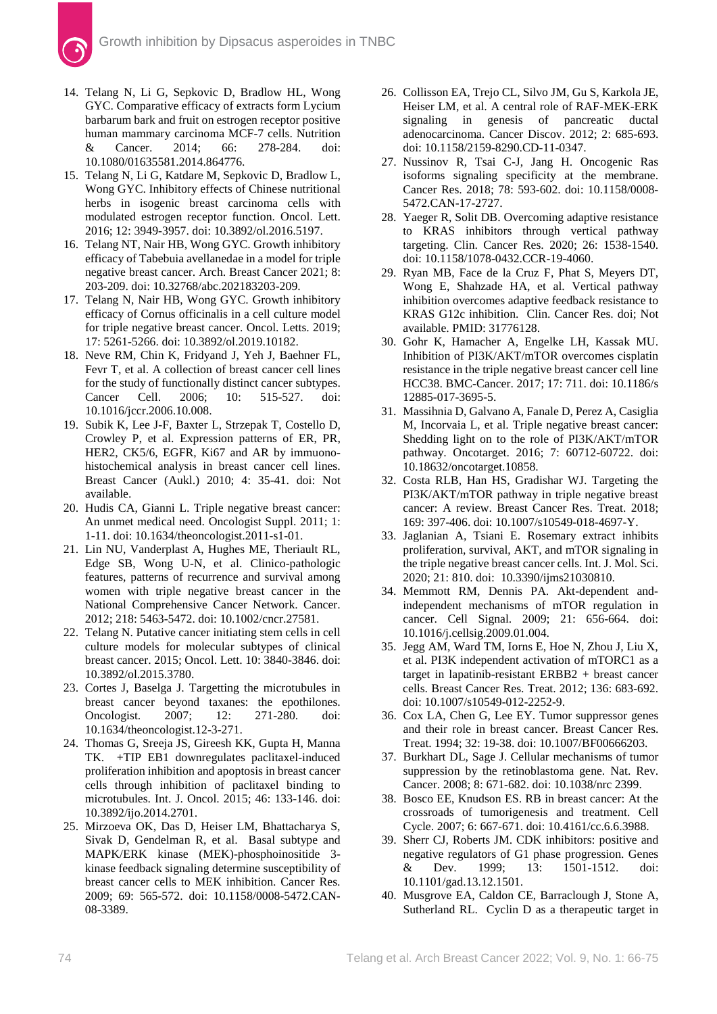- 14. Telang N, Li G, Sepkovic D, Bradlow HL, Wong GYC. Comparative efficacy of extracts form Lycium barbarum bark and fruit on estrogen receptor positive human mammary carcinoma MCF-7 cells. Nutrition & Cancer. 2014; 66: 278-284. doi: 10.1080/01635581.2014.864776.
- 15. Telang N, Li G, Katdare M, Sepkovic D, Bradlow L, Wong GYC. Inhibitory effects of Chinese nutritional herbs in isogenic breast carcinoma cells with modulated estrogen receptor function. Oncol. Lett. 2016; 12: 3949-3957. doi: 10.3892/ol.2016.5197.
- 16. Telang NT, Nair HB, Wong GYC. Growth inhibitory efficacy of Tabebuia avellanedae in a model for triple negative breast cancer. Arch. Breast Cancer 2021; 8: 203-209. doi: 10.32768/abc.202183203-209.
- 17. Telang N, Nair HB, Wong GYC. Growth inhibitory efficacy of Cornus officinalis in a cell culture model for triple negative breast cancer. Oncol. Letts. 2019; 17: 5261-5266. doi: 10.3892/ol.2019.10182.
- 18. Neve RM, Chin K, Fridyand J, Yeh J, Baehner FL, Fevr T, et al. A collection of breast cancer cell lines for the study of functionally distinct cancer subtypes. Cancer Cell. 2006; 10: 515-527. doi: 10.1016/jccr.2006.10.008.
- 19. Subik K, Lee J-F, Baxter L, Strzepak T, Costello D, Crowley P, et al. Expression patterns of ER, PR, HER2, CK5/6, EGFR, Ki67 and AR by immuonohistochemical analysis in breast cancer cell lines. Breast Cancer (Aukl.) 2010; 4: 35-41. doi: Not available.
- 20. Hudis CA, Gianni L. Triple negative breast cancer: An unmet medical need. Oncologist Suppl. 2011; 1: 1-11. doi: 10.1634/theoncologist.2011-s1-01.
- 21. Lin NU, Vanderplast A, Hughes ME, Theriault RL, Edge SB, Wong U-N, et al. Clinico-pathologic features, patterns of recurrence and survival among women with triple negative breast cancer in the National Comprehensive Cancer Network. Cancer. 2012; 218: 5463-5472. doi: 10.1002/cncr.27581.
- 22. Telang N. Putative cancer initiating stem cells in cell culture models for molecular subtypes of clinical breast cancer. 2015; Oncol. Lett. 10: 3840-3846. doi: 10.3892/ol.2015.3780.
- 23. Cortes J, Baselga J. Targetting the microtubules in breast cancer beyond taxanes: the epothilones. Oncologist. 2007; 12: 271-280. doi: 10.1634/theoncologist.12-3-271.
- 24. Thomas G, Sreeja JS, Gireesh KK, Gupta H, Manna TK. +TIP EB1 downregulates paclitaxel-induced proliferation inhibition and apoptosis in breast cancer cells through inhibition of paclitaxel binding to microtubules. Int. J. Oncol. 2015; 46: 133-146. doi: 10.3892/ijo.2014.2701.
- 25. Mirzoeva OK, Das D, Heiser LM, Bhattacharya S, Sivak D, Gendelman R, et al.Basal subtype and MAPK/ERK kinase (MEK)-phosphoinositide 3 kinase feedback signaling determine susceptibility of breast cancer cells to MEK inhibition. Cancer Res. 2009; 69: 565-572. doi: 10.1158/0008-5472.CAN-08-3389.
- 26. Collisson EA, Trejo CL, Silvo JM, Gu S, Karkola JE, Heiser LM, et al. A central role of RAF-MEK-ERK signaling in genesis of pancreatic ductal adenocarcinoma. Cancer Discov. 2012; 2: 685-693. doi: 10.1158/2159-8290.CD-11-0347.
- 27. Nussinov R, Tsai C-J, Jang H. Oncogenic Ras isoforms signaling specificity at the membrane. Cancer Res. 2018; 78: 593-602. doi: 10.1158/0008- 5472.CAN-17-2727.
- 28. Yaeger R, Solit DB. Overcoming adaptive resistance to KRAS inhibitors through vertical pathway targeting. Clin. Cancer Res. 2020; 26: 1538-1540. doi: 10.1158/1078-0432.CCR-19-4060.
- 29. Ryan MB, Face de la Cruz F, Phat S, Meyers DT, Wong E, Shahzade HA, et al. Vertical pathway inhibition overcomes adaptive feedback resistance to KRAS G12c inhibition. Clin. Cancer Res. doi; Not available. PMID: 31776128.
- 30. Gohr K, Hamacher A, Engelke LH, Kassak MU. Inhibition of PI3K/AKT/mTOR overcomes cisplatin resistance in the triple negative breast cancer cell line HCC38. BMC-Cancer. 2017; 17: 711. doi: 10.1186/s 12885-017-3695-5.
- 31. Massihnia D, Galvano A, Fanale D, Perez A, Casiglia M, Incorvaia L, et al. Triple negative breast cancer: Shedding light on to the role of PI3K/AKT/mTOR pathway. Oncotarget. 2016; 7: 60712-60722. doi: 10.18632/oncotarget.10858.
- 32. Costa RLB, Han HS, Gradishar WJ. Targeting the PI3K/AKT/mTOR pathway in triple negative breast cancer: A review. Breast Cancer Res. Treat. 2018; 169: 397-406. doi: 10.1007/s10549-018-4697-Y.
- 33. Jaglanian A, Tsiani E. Rosemary extract inhibits proliferation, survival, AKT, and mTOR signaling in the triple negative breast cancer cells. Int. J. Mol. Sci. 2020; 21: 810. doi: 10.3390/ijms21030810.
- 34. Memmott RM, Dennis PA. Akt-dependent andindependent mechanisms of mTOR regulation in cancer. Cell Signal. 2009; 21: 656-664. doi: 10.1016/j.cellsig.2009.01.004.
- 35. Jegg AM, Ward TM, Iorns E, Hoe N, Zhou J, Liu X, et al. PI3K independent activation of mTORC1 as a target in lapatinib-resistant ERBB2 + breast cancer cells. Breast Cancer Res. Treat. 2012; 136: 683-692. doi: 10.1007/s10549-012-2252-9.
- 36. Cox LA, Chen G, Lee EY. Tumor suppressor genes and their role in breast cancer. Breast Cancer Res. Treat. 1994; 32: 19-38. doi: 10.1007/BF00666203.
- 37. Burkhart DL, Sage J. Cellular mechanisms of tumor suppression by the retinoblastoma gene. Nat. Rev. Cancer. 2008; 8: 671-682. doi: 10.1038/nrc 2399.
- 38. Bosco EE, Knudson ES. RB in breast cancer: At the crossroads of tumorigenesis and treatment. Cell Cycle. 2007; 6: 667-671. doi: 10.4161/cc.6.6.3988.
- 39. Sherr CJ, Roberts JM. CDK inhibitors: positive and negative regulators of G1 phase progression. Genes & Dev. 1999; 13: 1501-1512. doi: 10.1101/gad.13.12.1501.
- 40. Musgrove EA, Caldon CE, Barraclough J, Stone A, Sutherland RL. Cyclin D as a therapeutic target in